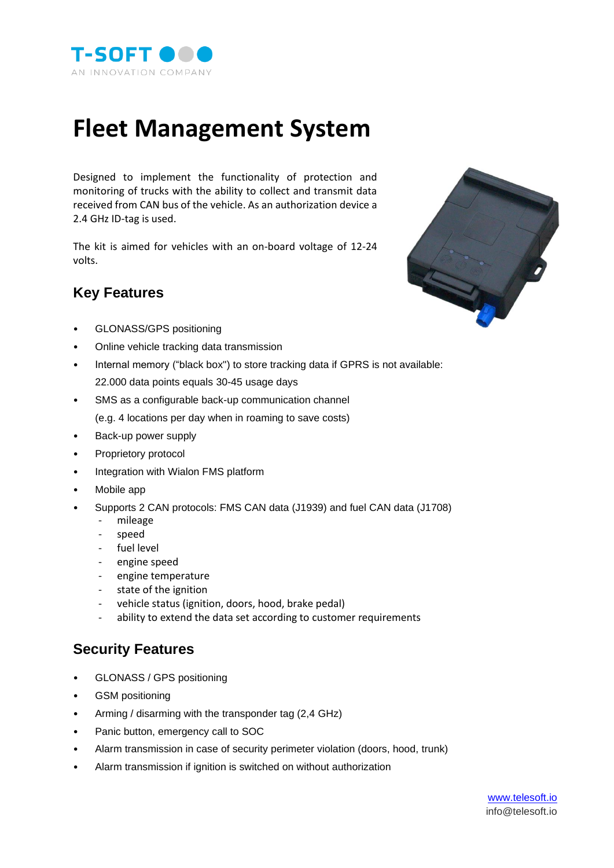

## **Fleet Management System**

Designed to implement the functionality of protection and monitoring of trucks with the ability to collect and transmit data received from CAN bus of the vehicle. As an authorization device a 2.4 GHz ID-tag is used.

The kit is aimed for vehicles with an on-board voltage of 12-24 volts.

## **Key Features**



- GLONASS/GPS positioning
- Online vehicle tracking data transmission
- Internal memory ("black box") to store tracking data if GPRS is not available: 22.000 data points equals 30-45 usage days
- SMS as a configurable back-up communication channel (e.g. 4 locations per day when in roaming to save costs)
- Back-up power supply
- Proprietory protocol
- Integration with Wialon FMS platform
- Mobile app
- Supports 2 CAN protocols: FMS CAN data (J1939) and fuel CAN data (J1708)
	- mileage
	- speed
	- fuel level
	- engine speed
	- engine temperature
	- state of the ignition
	- vehicle status (ignition, doors, hood, brake pedal)
	- ability to extend the data set according to customer requirements

## **Security Features**

- GLONASS / GPS positioning
- GSM positioning
- Arming / disarming with the transponder tag (2,4 GHz)
- Panic button, emergency call to SOC
- Alarm transmission in case of security perimeter violation (doors, hood, trunk)
- Alarm transmission if ignition is switched on without authorization